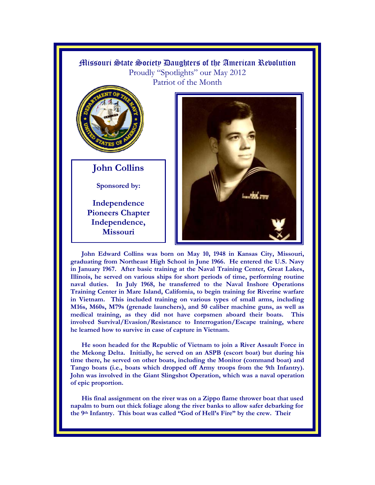

**John Edward Collins was born on May 10, 1948 in Kansas City, Missouri, graduating from Northeast High School in June 1966. He entered the U.S. Navy in January 1967. After basic training at the Naval Training Center, Great Lakes, Illinois, he served on various ships for short periods of time, performing routine naval duties. In July 1968, he transferred to the Naval Inshore Operations Training Center in Mare Island, California, to begin training for Riverine warfare in Vietnam. This included training on various types of small arms, including M16s, M60s, M79s (grenade launchers), and 50 caliber machine guns, as well as medical training, as they did not have corpsmen aboard their boats. This involved Survival/Evasion/Resistance to Interrogation/Escape training, where he learned how to survive in case of capture in Vietnam.** 

**He soon headed for the Republic of Vietnam to join a River Assault Force in the Mekong Delta. Initially, he served on an ASPB (escort boat) but during his time there, he served on other boats, including the Monitor (command boat) and Tango boats (i.e., boats which dropped off Army troops from the 9th Infantry). John was involved in the Giant Slingshot Operation, which was a naval operation of epic proportion.** 

**His final assignment on the river was on a Zippo flame thrower boat that used napalm to burn out thick foliage along the river banks to allow safer debarking for**  the 9<sup>th</sup> Infantry. This boat was called "God of Hell's Fire" by the crew. Their